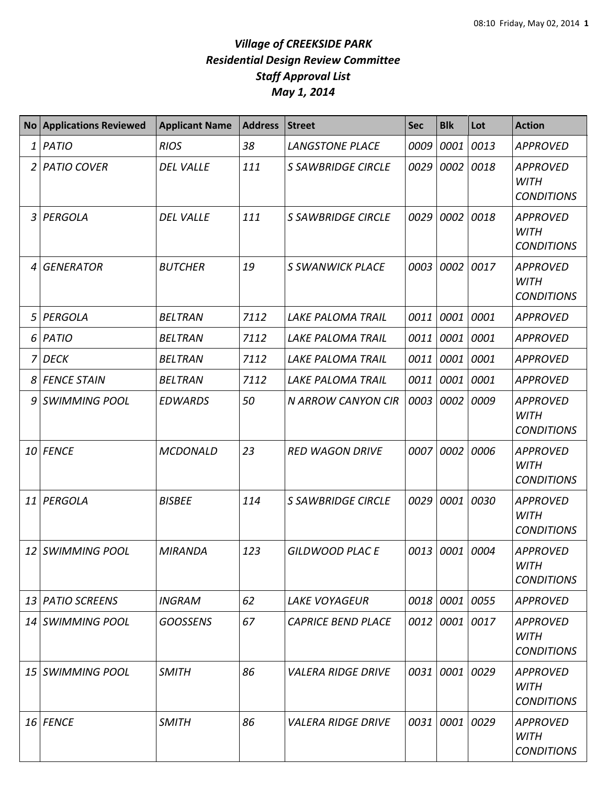|                | <b>No Applications Reviewed</b> | <b>Applicant Name</b> | <b>Address</b> | <b>Street</b>                    | <b>Sec</b> | <b>Blk</b>     | Lot  | <b>Action</b>                                       |
|----------------|---------------------------------|-----------------------|----------------|----------------------------------|------------|----------------|------|-----------------------------------------------------|
| $1\vert$       | <b>PATIO</b>                    | <b>RIOS</b>           | 38             | <b>LANGSTONE PLACE</b>           | 0009       | 0001           | 0013 | <b>APPROVED</b>                                     |
| $\overline{2}$ | <b>PATIO COVER</b>              | <b>DEL VALLE</b>      | 111            | <b>S SAWBRIDGE CIRCLE</b>        | 0029       | 0002           | 0018 | <b>APPROVED</b><br><b>WITH</b><br><b>CONDITIONS</b> |
| 3 <sup>1</sup> | PERGOLA                         | <b>DEL VALLE</b>      | 111            | <b>S SAWBRIDGE CIRCLE</b>        |            | 0029 0002 0018 |      | <b>APPROVED</b><br><b>WITH</b><br><b>CONDITIONS</b> |
| $\overline{4}$ | <b>GENERATOR</b>                | <b>BUTCHER</b>        | 19             | <b>S SWANWICK PLACE</b>          |            | 0003 0002 0017 |      | <b>APPROVED</b><br><b>WITH</b><br><b>CONDITIONS</b> |
| 5 <sup>1</sup> | PERGOLA                         | <b>BELTRAN</b>        | 7112           | <b>LAKE PALOMA TRAIL</b>         | 0011       | 0001 0001      |      | <b>APPROVED</b>                                     |
| 6 <sup>1</sup> | PATIO                           | <b>BELTRAN</b>        | 7112           | <b>LAKE PALOMA TRAIL</b>         | 0011       | 0001           | 0001 | <b>APPROVED</b>                                     |
| 71             | <b>DECK</b>                     | <b>BELTRAN</b>        | 7112           | <b>LAKE PALOMA TRAIL</b>         | 0011       | 0001 0001      |      | <b>APPROVED</b>                                     |
| 8              | <b>FENCE STAIN</b>              | <b>BELTRAN</b>        | 7112           | <b>LAKE PALOMA TRAIL</b>         | 0011       | 0001           | 0001 | <b>APPROVED</b>                                     |
| 9              | <b>SWIMMING POOL</b>            | <b>EDWARDS</b>        | 50             | <b>N ARROW CANYON CIR</b>        | 0003       | 0002           | 0009 | <b>APPROVED</b><br><b>WITH</b><br><b>CONDITIONS</b> |
|                | 10 FENCE                        | <b>MCDONALD</b>       | 23             | <b>RED WAGON DRIVE</b>           | 0007       | 0002           | 0006 | <b>APPROVED</b><br><b>WITH</b><br><b>CONDITIONS</b> |
| 11             | PERGOLA                         | <b>BISBEE</b>         | 114            | <b>S SAWBRIDGE CIRCLE</b>        |            | 0029 0001      | 0030 | <b>APPROVED</b><br><b>WITH</b><br><b>CONDITIONS</b> |
|                | 12 SWIMMING POOL                | <b>MIRANDA</b>        | 123            | <b>GILDWOOD PLACE</b>            |            | 0013 0001 0004 |      | <b>APPROVED</b><br>WITH<br><b>CONDITIONS</b>        |
|                | 13 PATIO SCREENS                | <b>INGRAM</b>         | 62             | <b>LAKE VOYAGEUR</b>             |            | 0018 0001 0055 |      | <b>APPROVED</b>                                     |
|                | 14 SWIMMING POOL                | <b>GOOSSENS</b>       | 67             | <b>CAPRICE BEND PLACE</b>        |            | 0012 0001 0017 |      | APPROVED<br><b>WITH</b><br><b>CONDITIONS</b>        |
| 15 I           | <b>SWIMMING POOL</b>            | <b>SMITH</b>          | 86             | <b>VALERA RIDGE DRIVE</b>        |            | 0031 0001 0029 |      | <b>APPROVED</b><br>WITH<br><b>CONDITIONS</b>        |
|                | 16 FENCE                        | <b>SMITH</b>          | 86             | <i><b>VALERA RIDGE DRIVE</b></i> |            | 0031 0001 0029 |      | APPROVED<br>WITH<br><b>CONDITIONS</b>               |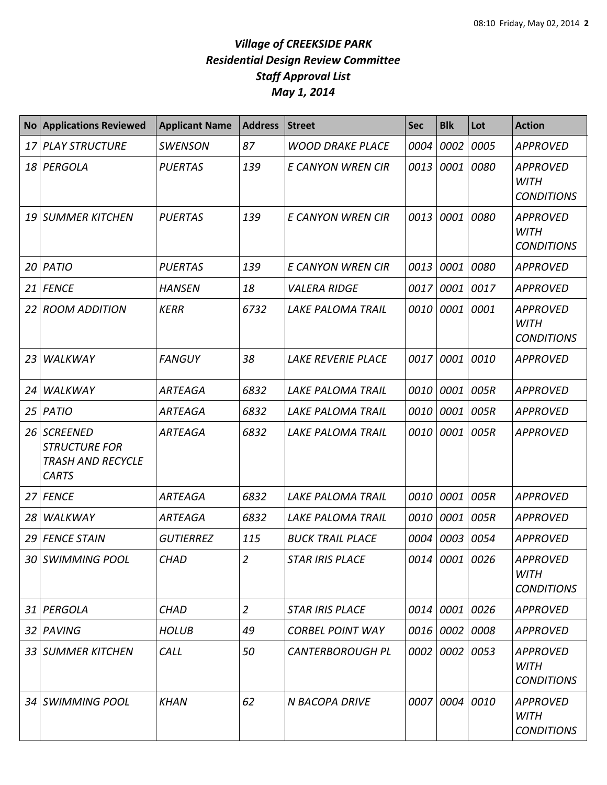| <b>No</b>       | <b>Applications Reviewed</b>                                                        | <b>Applicant Name</b> | <b>Address</b> | <b>Street</b>             | <b>Sec</b> | <b>Blk</b>     | Lot  | <b>Action</b>                                       |
|-----------------|-------------------------------------------------------------------------------------|-----------------------|----------------|---------------------------|------------|----------------|------|-----------------------------------------------------|
| 17              | <b>PLAY STRUCTURE</b>                                                               | <b>SWENSON</b>        | 87             | <b>WOOD DRAKE PLACE</b>   | 0004       | 0002           | 0005 | <b>APPROVED</b>                                     |
| 18              | PERGOLA                                                                             | <b>PUERTAS</b>        | 139            | <b>E CANYON WREN CIR</b>  | 0013       | 0001           | 0080 | <b>APPROVED</b><br><b>WITH</b><br><b>CONDITIONS</b> |
| 19              | <b>SUMMER KITCHEN</b>                                                               | <b>PUERTAS</b>        | 139            | E CANYON WREN CIR         | 0013       | 0001           | 0080 | <b>APPROVED</b><br><b>WITH</b><br><b>CONDITIONS</b> |
| 20              | <b>PATIO</b>                                                                        | <b>PUERTAS</b>        | 139            | E CANYON WREN CIR         | 0013       | 0001           | 0080 | <b>APPROVED</b>                                     |
| 21              | <b>FENCE</b>                                                                        | <b>HANSEN</b>         | 18             | <b>VALERA RIDGE</b>       | 0017       | 0001           | 0017 | <b>APPROVED</b>                                     |
| 22 <sub>1</sub> | <b>ROOM ADDITION</b>                                                                | <b>KERR</b>           | 6732           | <b>LAKE PALOMA TRAIL</b>  | 0010       | 0001           | 0001 | <b>APPROVED</b><br><b>WITH</b><br><b>CONDITIONS</b> |
| 23              | <b>WALKWAY</b>                                                                      | <b>FANGUY</b>         | 38             | <b>LAKE REVERIE PLACE</b> | 0017       | 0001           | 0010 | <b>APPROVED</b>                                     |
| 24              | <b>WALKWAY</b>                                                                      | <b>ARTEAGA</b>        | 6832           | <b>LAKE PALOMA TRAIL</b>  | 0010       | 0001           | 005R | <b>APPROVED</b>                                     |
| 25              | <b>PATIO</b>                                                                        | <b>ARTEAGA</b>        | 6832           | <b>LAKE PALOMA TRAIL</b>  | 0010       | 0001           | 005R | <b>APPROVED</b>                                     |
| 26              | <b>SCREENED</b><br><b>STRUCTURE FOR</b><br><b>TRASH AND RECYCLE</b><br><b>CARTS</b> | <b>ARTEAGA</b>        | 6832           | <b>LAKE PALOMA TRAIL</b>  | 0010       | 0001           | 005R | <b>APPROVED</b>                                     |
| 27              | <b>FENCE</b>                                                                        | ARTEAGA               | 6832           | <b>LAKE PALOMA TRAIL</b>  | 0010       | 0001           | 005R | <b>APPROVED</b>                                     |
| 28              | WALKWAY                                                                             | <b>ARTEAGA</b>        | 6832           | <b>LAKE PALOMA TRAIL</b>  | 0010       | 0001           | 005R | <b>APPROVED</b>                                     |
| 29              | <b>FENCE STAIN</b>                                                                  | <b>GUTIERREZ</b>      | 115            | <b>BUCK TRAIL PLACE</b>   | 0004       | 0003           | 0054 | <b>APPROVED</b>                                     |
|                 | 30 SWIMMING POOL                                                                    | <b>CHAD</b>           | $\overline{a}$ | <b>STAR IRIS PLACE</b>    |            | 0014 0001 0026 |      | <b>APPROVED</b><br><b>WITH</b><br><b>CONDITIONS</b> |
|                 | 31 PERGOLA                                                                          | <b>CHAD</b>           | $\overline{2}$ | <b>STAR IRIS PLACE</b>    | 0014       | 0001 0026      |      | <b>APPROVED</b>                                     |
|                 | 32 PAVING                                                                           | <b>HOLUB</b>          | 49             | <b>CORBEL POINT WAY</b>   |            | 0016 0002 0008 |      | <b>APPROVED</b>                                     |
|                 | 33 SUMMER KITCHEN                                                                   | CALL                  | 50             | <b>CANTERBOROUGH PL</b>   |            | 0002 0002 0053 |      | <b>APPROVED</b><br>WITH<br><b>CONDITIONS</b>        |
|                 | 34 SWIMMING POOL                                                                    | <b>KHAN</b>           | 62             | N BACOPA DRIVE            |            | 0007 0004 0010 |      | <b>APPROVED</b><br>WITH<br><b>CONDITIONS</b>        |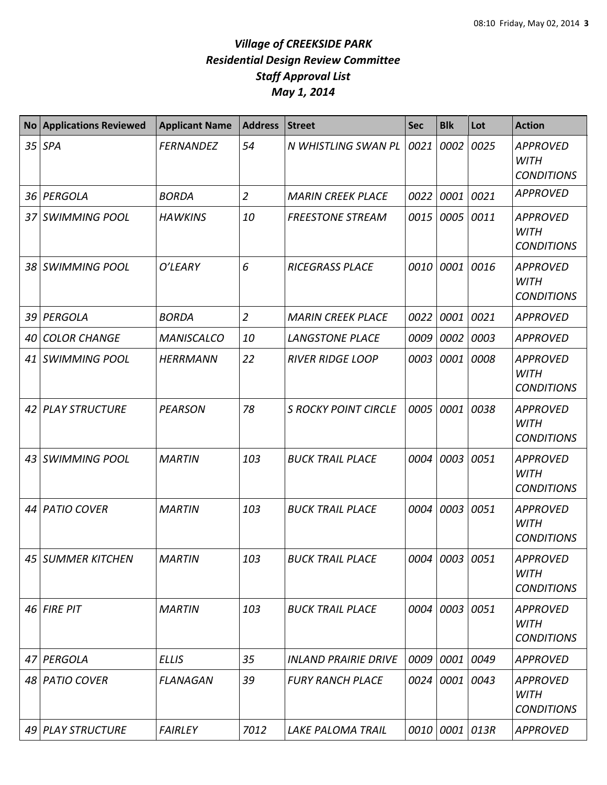| <b>No</b> | <b>Applications Reviewed</b> | <b>Applicant Name</b> | <b>Address</b> | <b>Street</b>               | <b>Sec</b> | <b>Blk</b>     | Lot  | <b>Action</b>                                       |
|-----------|------------------------------|-----------------------|----------------|-----------------------------|------------|----------------|------|-----------------------------------------------------|
| 35        | <b>SPA</b>                   | <b>FERNANDEZ</b>      | 54             | N WHISTLING SWAN PL         | 0021       | 0002           | 0025 | <b>APPROVED</b><br><b>WITH</b><br><b>CONDITIONS</b> |
| 36        | PERGOLA                      | <b>BORDA</b>          | $\overline{2}$ | <b>MARIN CREEK PLACE</b>    | 0022       | 0001           | 0021 | <b>APPROVED</b>                                     |
| 37        | <b>SWIMMING POOL</b>         | <b>HAWKINS</b>        | 10             | <b>FREESTONE STREAM</b>     | 0015       | 0005           | 0011 | <b>APPROVED</b><br><b>WITH</b><br><b>CONDITIONS</b> |
| 38        | <b>SWIMMING POOL</b>         | O'LEARY               | 6              | <b>RICEGRASS PLACE</b>      | 0010       | 0001           | 0016 | <b>APPROVED</b><br><b>WITH</b><br><b>CONDITIONS</b> |
| 39        | PERGOLA                      | <b>BORDA</b>          | $\overline{2}$ | <b>MARIN CREEK PLACE</b>    | 0022       | 0001           | 0021 | <b>APPROVED</b>                                     |
| 40        | <b>COLOR CHANGE</b>          | <b>MANISCALCO</b>     | 10             | <b>LANGSTONE PLACE</b>      | 0009       | 0002           | 0003 | <b>APPROVED</b>                                     |
| 41        | <b>SWIMMING POOL</b>         | <b>HERRMANN</b>       | 22             | <b>RIVER RIDGE LOOP</b>     | 0003       | 0001           | 0008 | <b>APPROVED</b><br><b>WITH</b><br><b>CONDITIONS</b> |
| 42        | <b>PLAY STRUCTURE</b>        | <b>PEARSON</b>        | 78             | <b>S ROCKY POINT CIRCLE</b> | 0005       | 0001           | 0038 | <b>APPROVED</b><br><b>WITH</b><br><b>CONDITIONS</b> |
| 43        | <b>SWIMMING POOL</b>         | <b>MARTIN</b>         | 103            | <b>BUCK TRAIL PLACE</b>     | 0004       | 0003           | 0051 | <b>APPROVED</b><br><b>WITH</b><br><b>CONDITIONS</b> |
| 44        | <b>PATIO COVER</b>           | <b>MARTIN</b>         | 103            | <b>BUCK TRAIL PLACE</b>     | 0004       | 0003           | 0051 | <b>APPROVED</b><br><b>WITH</b><br><b>CONDITIONS</b> |
|           | 45 SUMMER KITCHEN            | <b>MARTIN</b>         | 103            | <b>BUCK TRAIL PLACE</b>     |            | 0004 0003 0051 |      | <b>APPROVED</b><br>WITH<br><b>CONDITIONS</b>        |
|           | $46$ FIRE PIT                | <b>MARTIN</b>         | 103            | <b>BUCK TRAIL PLACE</b>     | 0004       | 0003           | 0051 | <b>APPROVED</b><br><b>WITH</b><br><b>CONDITIONS</b> |
| 47        | PERGOLA                      | <b>ELLIS</b>          | 35             | <b>INLAND PRAIRIE DRIVE</b> | 0009       | 0001           | 0049 | <b>APPROVED</b>                                     |
| 48        | <b>PATIO COVER</b>           | <b>FLANAGAN</b>       | 39             | <b>FURY RANCH PLACE</b>     | 0024       | 0001           | 0043 | <b>APPROVED</b><br><b>WITH</b><br><b>CONDITIONS</b> |
| 49        | <b>PLAY STRUCTURE</b>        | <b>FAIRLEY</b>        | 7012           | <b>LAKE PALOMA TRAIL</b>    | 0010       | 0001 013R      |      | <b>APPROVED</b>                                     |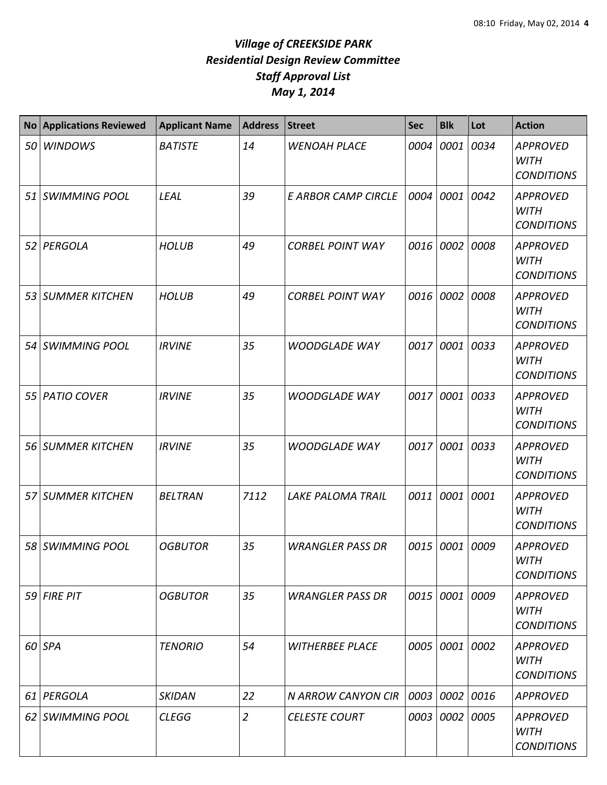| <b>No</b> | <b>Applications Reviewed</b> | <b>Applicant Name</b> | <b>Address</b> | <b>Street</b>              | <b>Sec</b> | <b>Blk</b>     | Lot  | <b>Action</b>                                       |
|-----------|------------------------------|-----------------------|----------------|----------------------------|------------|----------------|------|-----------------------------------------------------|
| 50        | <b>WINDOWS</b>               | <b>BATISTE</b>        | 14             | <b>WENOAH PLACE</b>        | 0004       | 0001           | 0034 | <b>APPROVED</b><br><b>WITH</b><br><b>CONDITIONS</b> |
|           | 51 SWIMMING POOL             | LEAL                  | 39             | <b>E ARBOR CAMP CIRCLE</b> | 0004       | 0001           | 0042 | <b>APPROVED</b><br><b>WITH</b><br><b>CONDITIONS</b> |
| 52        | PERGOLA                      | <b>HOLUB</b>          | 49             | <b>CORBEL POINT WAY</b>    | 0016       | 0002           | 0008 | <b>APPROVED</b><br><b>WITH</b><br><b>CONDITIONS</b> |
| 53        | <b>SUMMER KITCHEN</b>        | <b>HOLUB</b>          | 49             | <b>CORBEL POINT WAY</b>    | 0016       | 0002           | 0008 | <b>APPROVED</b><br><b>WITH</b><br><b>CONDITIONS</b> |
| 54 I      | <b>SWIMMING POOL</b>         | <b>IRVINE</b>         | 35             | <b>WOODGLADE WAY</b>       | 0017       | 0001 0033      |      | <b>APPROVED</b><br><b>WITH</b><br><b>CONDITIONS</b> |
| 55        | <b>PATIO COVER</b>           | <b>IRVINE</b>         | 35             | <b>WOODGLADE WAY</b>       | 0017       | 0001 0033      |      | <b>APPROVED</b><br><b>WITH</b><br><b>CONDITIONS</b> |
| 56        | <b>SUMMER KITCHEN</b>        | <b>IRVINE</b>         | 35             | <b>WOODGLADE WAY</b>       | 0017       | 0001           | 0033 | <b>APPROVED</b><br><b>WITH</b><br><b>CONDITIONS</b> |
| 57        | <b>SUMMER KITCHEN</b>        | <b>BELTRAN</b>        | 7112           | <b>LAKE PALOMA TRAIL</b>   | 0011       | 0001           | 0001 | <b>APPROVED</b><br><b>WITH</b><br><b>CONDITIONS</b> |
| 58        | <b>SWIMMING POOL</b>         | <b>OGBUTOR</b>        | 35             | <b>WRANGLER PASS DR</b>    | 0015       | 0001           | 0009 | <b>APPROVED</b><br><b>WITH</b><br><b>CONDITIONS</b> |
|           | 59 FIRE PIT                  | <b>OGBUTOR</b>        | 35             | <b>WRANGLER PASS DR</b>    |            | 0015 0001 0009 |      | <b>APPROVED</b><br><b>WITH</b><br><b>CONDITIONS</b> |
|           | 60 SPA                       | <b>TENORIO</b>        | 54             | <b>WITHERBEE PLACE</b>     | 0005       | 0001 0002      |      | <b>APPROVED</b><br><b>WITH</b><br><b>CONDITIONS</b> |
| 61        | PERGOLA                      | <b>SKIDAN</b>         | 22             | N ARROW CANYON CIR         | 0003       | 0002 0016      |      | <b>APPROVED</b>                                     |
| 62        | <b>SWIMMING POOL</b>         | <b>CLEGG</b>          | $\overline{2}$ | <b>CELESTE COURT</b>       | 0003       | 0002 0005      |      | APPROVED<br><b>WITH</b><br><b>CONDITIONS</b>        |